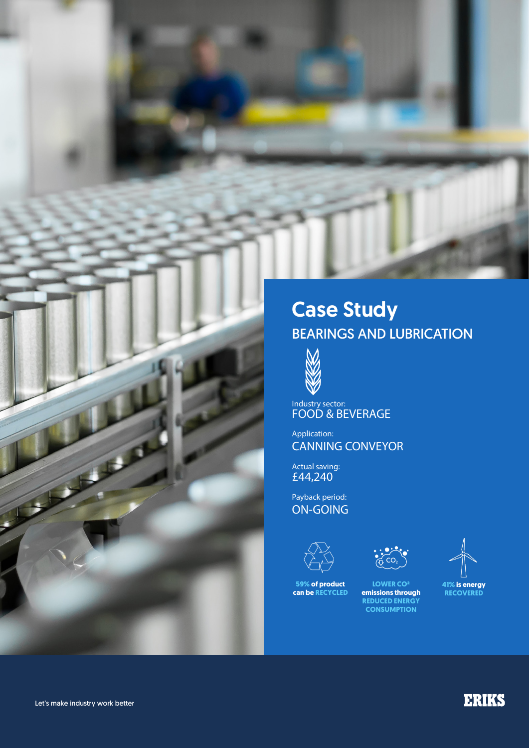# Case Study BEARINGS AND LUBRICATION



Industry sector: FOOD & BEVERAGE

Application: CANNING CONVEYOR

Actual saving: £44,240

Payback period: ON-GOING



**59% of product can be RECYCLED**



**LOWER CO² emissions through REDUCED ENERGY CONSUMPTION**



**41% is energy RECOVERED**

Let's make industry work better

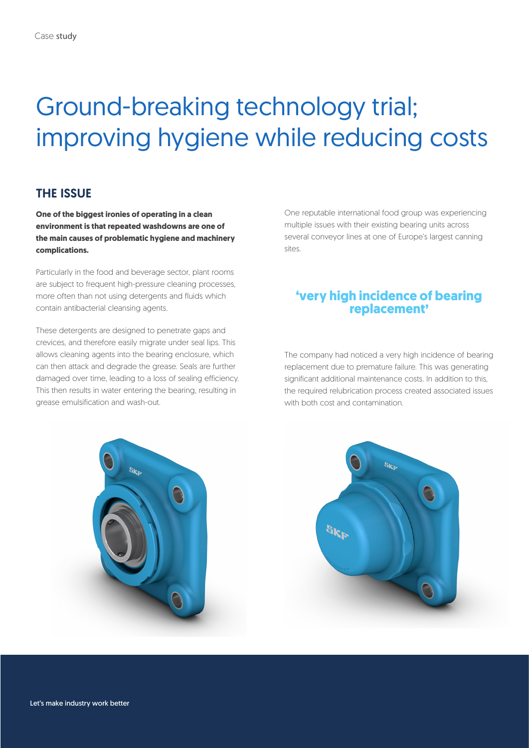# Ground-breaking technology trial; improving hygiene while reducing costs

#### THE ISSUE

**One of the biggest ironies of operating in a clean environment is that repeated washdowns are one of the main causes of problematic hygiene and machinery complications.** 

Particularly in the food and beverage sector, plant rooms are subject to frequent high-pressure cleaning processes, more often than not using detergents and fluids which contain antibacterial cleansing agents.

These detergents are designed to penetrate gaps and crevices, and therefore easily migrate under seal lips. This allows cleaning agents into the bearing enclosure, which can then attack and degrade the grease. Seals are further damaged over time, leading to a loss of sealing efficiency. This then results in water entering the bearing, resulting in grease emulsification and wash-out.

One reputable international food group was experiencing multiple issues with their existing bearing units across several conveyor lines at one of Europe's largest canning sites.

# **'very high incidence of bearing replacement'**

The company had noticed a very high incidence of bearing replacement due to premature failure. This was generating significant additional maintenance costs. In addition to this, the required relubrication process created associated issues with both cost and contamination.

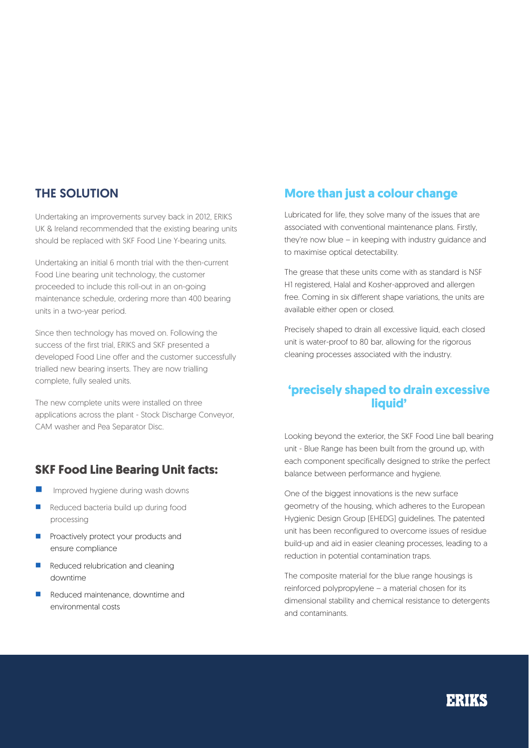### THE SOLUTION

Undertaking an improvements survey back in 2012, ERIKS UK & Ireland recommended that the existing bearing units should be replaced with SKF Food Line Y-bearing units.

Undertaking an initial 6 month trial with the then-current Food Line bearing unit technology, the customer proceeded to include this roll-out in an on-going maintenance schedule, ordering more than 400 bearing units in a two-year period.

Since then technology has moved on. Following the success of the first trial, ERIKS and SKF presented a developed Food Line offer and the customer successfully trialled new bearing inserts. They are now trialling complete, fully sealed units.

The new complete units were installed on three applications across the plant - Stock Discharge Conveyor, CAM washer and Pea Separator Disc.

### **SKF Food Line Bearing Unit facts:**

- Improved hygiene during wash downs
- **n** Reduced bacteria build up during food processing
- **n** Proactively protect your products and ensure compliance
- **n** Reduced relubrication and cleaning downtime
- n Reduced maintenance, downtime and environmental costs

# **More than just a colour change**

Lubricated for life, they solve many of the issues that are associated with conventional maintenance plans. Firstly, they're now blue – in keeping with industry guidance and to maximise optical detectability.

The grease that these units come with as standard is NSF H1 registered, Halal and Kosher-approved and allergen free. Coming in six different shape variations, the units are available either open or closed.

Precisely shaped to drain all excessive liquid, each closed unit is water-proof to 80 bar, allowing for the rigorous cleaning processes associated with the industry.

### **'precisely shaped to drain excessive liquid'**

Looking beyond the exterior, the SKF Food Line ball bearing unit - Blue Range has been built from the ground up, with each component specifically designed to strike the perfect balance between performance and hygiene.

One of the biggest innovations is the new surface geometry of the housing, which adheres to the European Hygienic Design Group (EHEDG) guidelines. The patented unit has been reconfigured to overcome issues of residue build-up and aid in easier cleaning processes, leading to a reduction in potential contamination traps.

The composite material for the blue range housings is reinforced polypropylene – a material chosen for its dimensional stability and chemical resistance to detergents and contaminants.